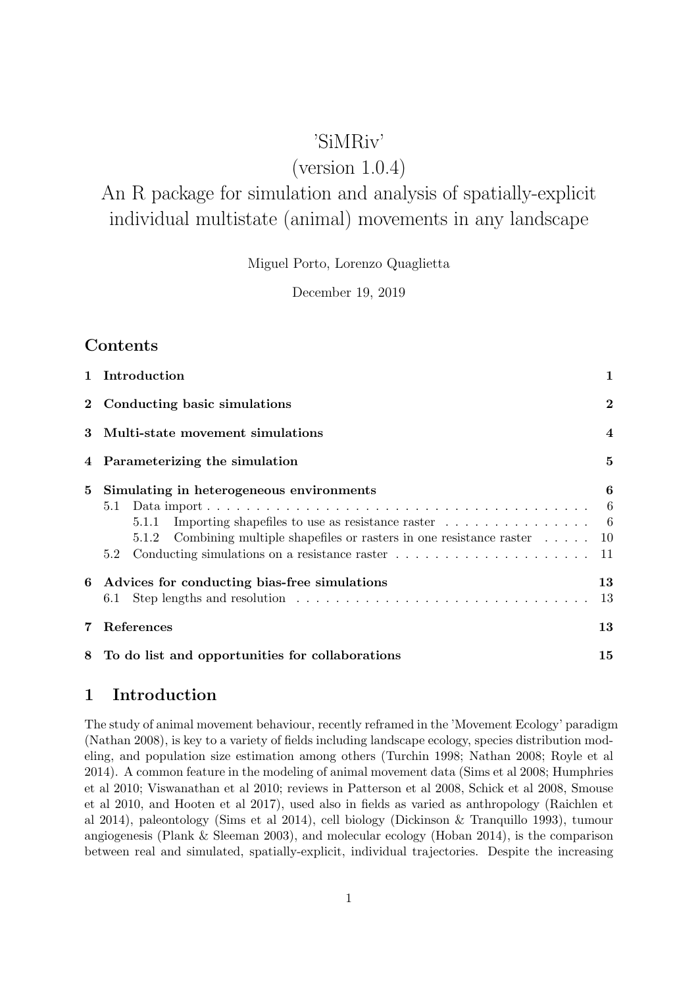## 'SiMRiv'

# (version 1.0.4)

# An R package for simulation and analysis of spatially-explicit individual multistate (animal) movements in any landscape

Miguel Porto, Lorenzo Quaglietta

December 19, 2019

## **Contents**

|   | 1 Introduction                                                                                                                                                                                                                                   | $\mathbf{1}$            |
|---|--------------------------------------------------------------------------------------------------------------------------------------------------------------------------------------------------------------------------------------------------|-------------------------|
|   | 2 Conducting basic simulations                                                                                                                                                                                                                   | $\overline{2}$          |
|   | 3 Multi-state movement simulations                                                                                                                                                                                                               | $\overline{\mathbf{4}}$ |
|   | 4 Parameterizing the simulation                                                                                                                                                                                                                  | $\bf{5}$                |
| 5 | Simulating in heterogeneous environments<br>5.1<br>Importing shapefiles to use as resistance raster $\dots \dots \dots \dots \dots$<br>5.1.1<br>Combining multiple shapefiles or rasters in one resistance raster $\dots$ . $10$<br>5.1.2<br>5.2 | 6                       |
| 6 | Advices for conducting bias-free simulations<br>6.1                                                                                                                                                                                              | 13<br>13                |
| 7 | References                                                                                                                                                                                                                                       | 13                      |
| 8 | To do list and opportunities for collaborations                                                                                                                                                                                                  | 15                      |

## <span id="page-0-0"></span>1 Introduction

The study of animal movement behaviour, recently reframed in the 'Movement Ecology' paradigm (Nathan 2008), is key to a variety of fields including landscape ecology, species distribution modeling, and population size estimation among others (Turchin 1998; Nathan 2008; Royle et al 2014). A common feature in the modeling of animal movement data (Sims et al 2008; Humphries et al 2010; Viswanathan et al 2010; reviews in Patterson et al 2008, Schick et al 2008, Smouse et al 2010, and Hooten et al 2017), used also in fields as varied as anthropology (Raichlen et al 2014), paleontology (Sims et al 2014), cell biology (Dickinson & Tranquillo 1993), tumour angiogenesis (Plank & Sleeman 2003), and molecular ecology (Hoban 2014), is the comparison between real and simulated, spatially-explicit, individual trajectories. Despite the increasing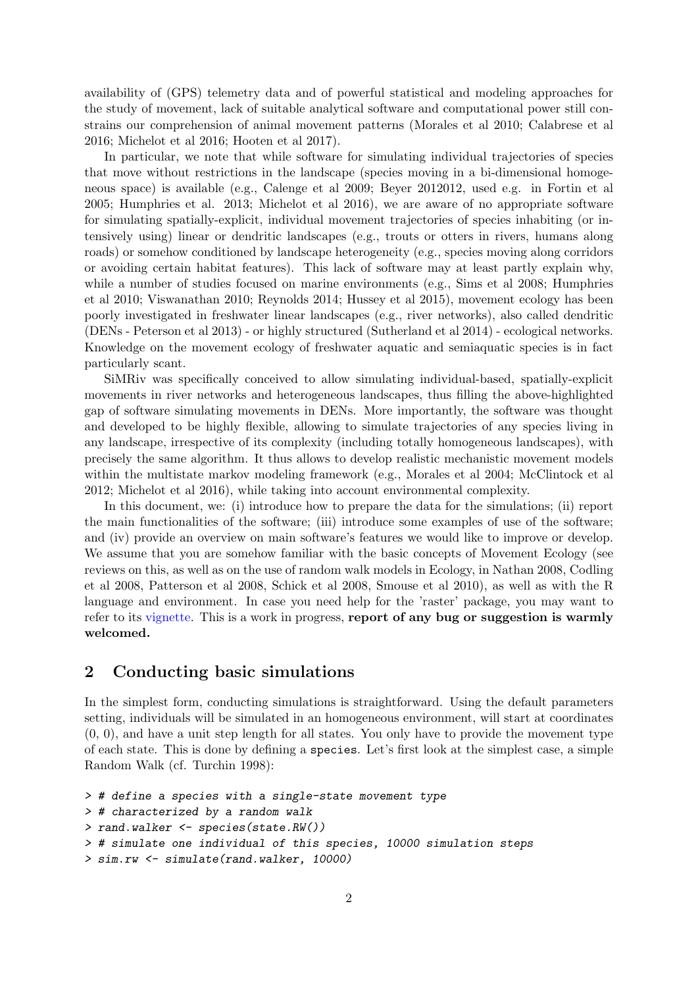availability of (GPS) telemetry data and of powerful statistical and modeling approaches for the study of movement, lack of suitable analytical software and computational power still constrains our comprehension of animal movement patterns (Morales et al 2010; Calabrese et al 2016; Michelot et al 2016; Hooten et al 2017).

In particular, we note that while software for simulating individual trajectories of species that move without restrictions in the landscape (species moving in a bi-dimensional homogeneous space) is available (e.g., Calenge et al 2009; Beyer 2012012, used e.g. in Fortin et al 2005; Humphries et al. 2013; Michelot et al 2016), we are aware of no appropriate software for simulating spatially-explicit, individual movement trajectories of species inhabiting (or intensively using) linear or dendritic landscapes (e.g., trouts or otters in rivers, humans along roads) or somehow conditioned by landscape heterogeneity (e.g., species moving along corridors or avoiding certain habitat features). This lack of software may at least partly explain why, while a number of studies focused on marine environments (e.g., Sims et al 2008; Humphries et al 2010; Viswanathan 2010; Reynolds 2014; Hussey et al 2015), movement ecology has been poorly investigated in freshwater linear landscapes (e.g., river networks), also called dendritic (DENs - Peterson et al 2013) - or highly structured (Sutherland et al 2014) - ecological networks. Knowledge on the movement ecology of freshwater aquatic and semiaquatic species is in fact particularly scant.

SiMRiv was specifically conceived to allow simulating individual-based, spatially-explicit movements in river networks and heterogeneous landscapes, thus filling the above-highlighted gap of software simulating movements in DENs. More importantly, the software was thought and developed to be highly flexible, allowing to simulate trajectories of any species living in any landscape, irrespective of its complexity (including totally homogeneous landscapes), with precisely the same algorithm. It thus allows to develop realistic mechanistic movement models within the multistate markov modeling framework (e.g., Morales et al 2004; McClintock et al 2012; Michelot et al 2016), while taking into account environmental complexity.

In this document, we: (i) introduce how to prepare the data for the simulations; (ii) report the main functionalities of the software; (iii) introduce some examples of use of the software; and (iv) provide an overview on main software's features we would like to improve or develop. We assume that you are somehow familiar with the basic concepts of Movement Ecology (see reviews on this, as well as on the use of random walk models in Ecology, in Nathan 2008, Codling et al 2008, Patterson et al 2008, Schick et al 2008, Smouse et al 2010), as well as with the R language and environment. In case you need help for the 'raster' package, you may want to refer to its [vignette.](http://cran.r-project.org/web/packages/raster/vignettes/Raster.pdf) This is a work in progress, report of any bug or suggestion is warmly welcomed.

## <span id="page-1-0"></span>2 Conducting basic simulations

In the simplest form, conducting simulations is straightforward. Using the default parameters setting, individuals will be simulated in an homogeneous environment, will start at coordinates (0, 0), and have a unit step length for all states. You only have to provide the movement type of each state. This is done by defining a species. Let's first look at the simplest case, a simple Random Walk (cf. Turchin 1998):

```
> # define a species with a single-state movement type
> # characterized by a random walk
> rand.walker <- species(state.RW())
> # simulate one individual of this species, 10000 simulation steps
> sim.rw <- simulate(rand.walker, 10000)
```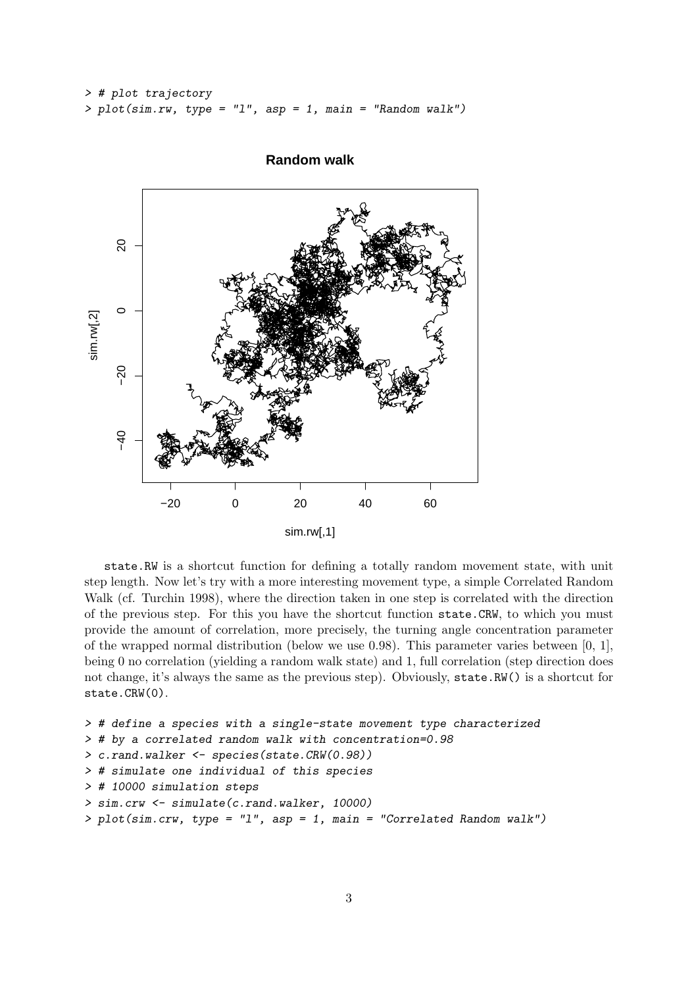```
> # plot trajectory
> plot(sim.rw, type = "l", asp = 1, main = "Random walk")
```


**Random walk**

state.RW is a shortcut function for defining a totally random movement state, with unit step length. Now let's try with a more interesting movement type, a simple Correlated Random Walk (cf. Turchin 1998), where the direction taken in one step is correlated with the direction of the previous step. For this you have the shortcut function state.CRW, to which you must provide the amount of correlation, more precisely, the turning angle concentration parameter of the wrapped normal distribution (below we use 0.98). This parameter varies between [0, 1], being 0 no correlation (yielding a random walk state) and 1, full correlation (step direction does not change, it's always the same as the previous step). Obviously, state.RW() is a shortcut for state.CRW(0).

```
> # define a species with a single-state movement type characterized
> # by a correlated random walk with concentration=0.98
> c.rand.walker <- species(state.CRW(0.98))
> # simulate one individual of this species
> # 10000 simulation steps
> sim.crw <- simulate(c.rand.walker, 10000)
> plot(sim.crw, type = "l", asp = 1, main = "Correlated Random walk")
```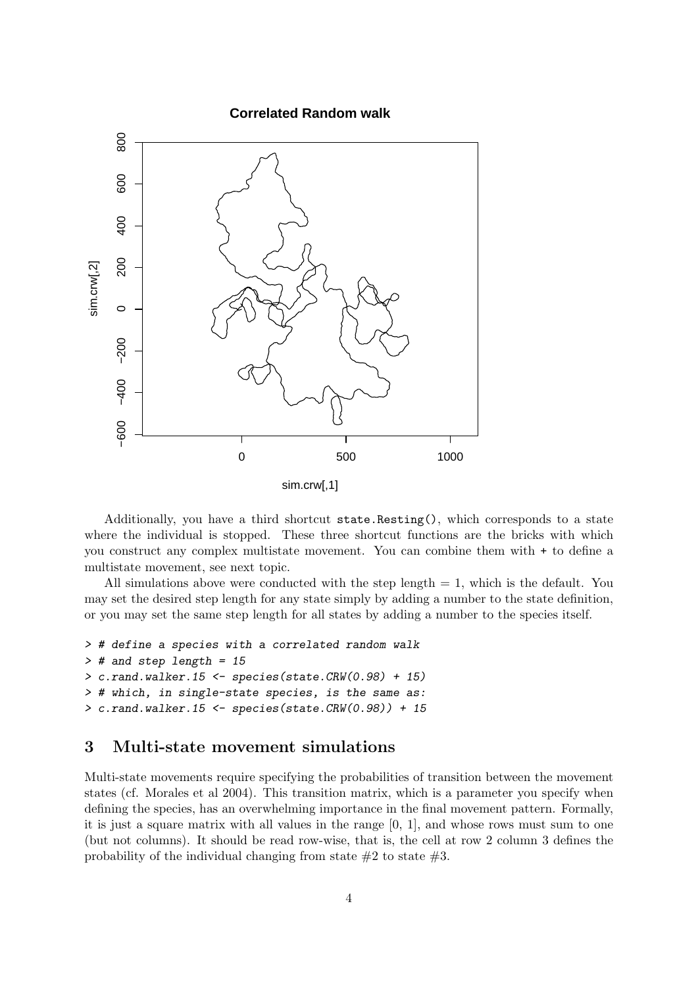

Additionally, you have a third shortcut state.Resting(), which corresponds to a state where the individual is stopped. These three shortcut functions are the bricks with which you construct any complex multistate movement. You can combine them with + to define a multistate movement, see next topic.

All simulations above were conducted with the step length  $= 1$ , which is the default. You may set the desired step length for any state simply by adding a number to the state definition, or you may set the same step length for all states by adding a number to the species itself.

```
> # define a species with a correlated random walk
> # and step length = 15
> c.random.walker.15 < - species(state.CRW(0.98) + 15)> # which, in single-state species, is the same as:
> c.rand.walker.15 <- species(state.CRW(0.98)) + 15
```
## <span id="page-3-0"></span>3 Multi-state movement simulations

Multi-state movements require specifying the probabilities of transition between the movement states (cf. Morales et al 2004). This transition matrix, which is a parameter you specify when defining the species, has an overwhelming importance in the final movement pattern. Formally, it is just a square matrix with all values in the range [0, 1], and whose rows must sum to one (but not columns). It should be read row-wise, that is, the cell at row 2 column 3 defines the probability of the individual changing from state  $#2$  to state  $#3$ .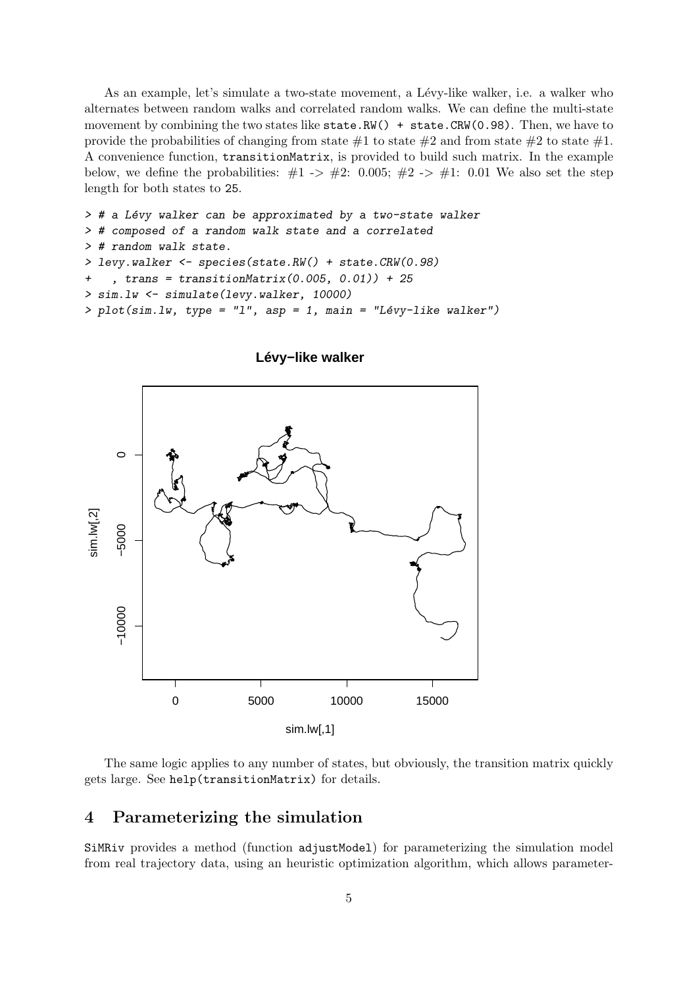As an example, let's simulate a two-state movement, a Lévy-like walker, i.e. a walker who alternates between random walks and correlated random walks. We can define the multi-state movement by combining the two states like  $state.RW() + state.CRW(0.98)$ . Then, we have to provide the probabilities of changing from state  $\#1$  to state  $\#2$  and from state  $\#2$  to state  $\#1$ . A convenience function, transitionMatrix, is provided to build such matrix. In the example below, we define the probabilities:  $\#1 \rightarrow \#2$ : 0.005;  $\#2 \rightarrow \#1$ : 0.01 We also set the step length for both states to 25.

```
> # a Lévy walker can be approximated by a two-state walker
> # composed of a random walk state and a correlated
> # random walk state.
> levy.walker <- species(state.RW() + state.CRW(0.98)
+ , trans = transitionMatrix(0.005, 0.01)) + 25
> sim.lw <- simulate(levy.walker, 10000)
> plot(sim.lw, type = "l", asp = 1, main = "Lévy-like walker")
```


**Lévy−like walker**

The same logic applies to any number of states, but obviously, the transition matrix quickly gets large. See help(transitionMatrix) for details.

## <span id="page-4-0"></span>4 Parameterizing the simulation

SiMRiv provides a method (function adjustModel) for parameterizing the simulation model from real trajectory data, using an heuristic optimization algorithm, which allows parameter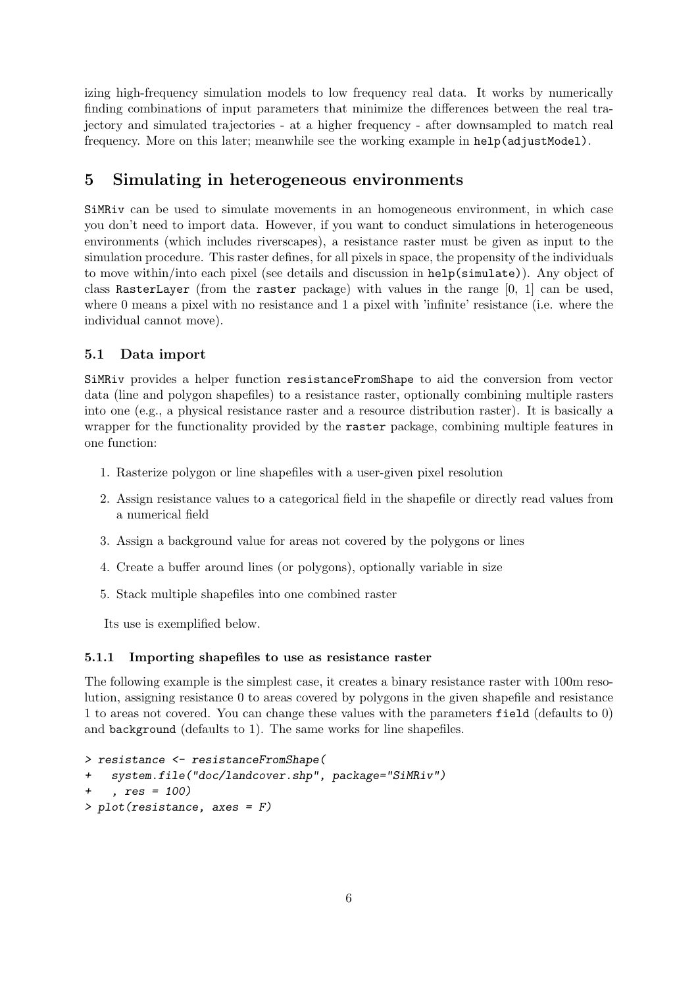izing high-frequency simulation models to low frequency real data. It works by numerically finding combinations of input parameters that minimize the differences between the real trajectory and simulated trajectories - at a higher frequency - after downsampled to match real frequency. More on this later; meanwhile see the working example in help(adjustModel).

## <span id="page-5-0"></span>5 Simulating in heterogeneous environments

SiMRiv can be used to simulate movements in an homogeneous environment, in which case you don't need to import data. However, if you want to conduct simulations in heterogeneous environments (which includes riverscapes), a resistance raster must be given as input to the simulation procedure. This raster defines, for all pixels in space, the propensity of the individuals to move within/into each pixel (see details and discussion in help(simulate)). Any object of class RasterLayer (from the raster package) with values in the range  $[0, 1]$  can be used, where 0 means a pixel with no resistance and 1 a pixel with 'infinite' resistance (i.e. where the individual cannot move).

#### <span id="page-5-1"></span>5.1 Data import

SiMRiv provides a helper function resistanceFromShape to aid the conversion from vector data (line and polygon shapefiles) to a resistance raster, optionally combining multiple rasters into one (e.g., a physical resistance raster and a resource distribution raster). It is basically a wrapper for the functionality provided by the raster package, combining multiple features in one function:

- 1. Rasterize polygon or line shapefiles with a user-given pixel resolution
- 2. Assign resistance values to a categorical field in the shapefile or directly read values from a numerical field
- 3. Assign a background value for areas not covered by the polygons or lines
- 4. Create a buffer around lines (or polygons), optionally variable in size
- 5. Stack multiple shapefiles into one combined raster

Its use is exemplified below.

#### <span id="page-5-2"></span>5.1.1 Importing shapefiles to use as resistance raster

The following example is the simplest case, it creates a binary resistance raster with 100m resolution, assigning resistance 0 to areas covered by polygons in the given shapefile and resistance 1 to areas not covered. You can change these values with the parameters field (defaults to 0) and background (defaults to 1). The same works for line shapefiles.

```
> resistance <- resistanceFromShape(
   system.file("doc/landcover.shp", package="SiMRiv")
    , res = 100)> plot(resistance, axes = F)
```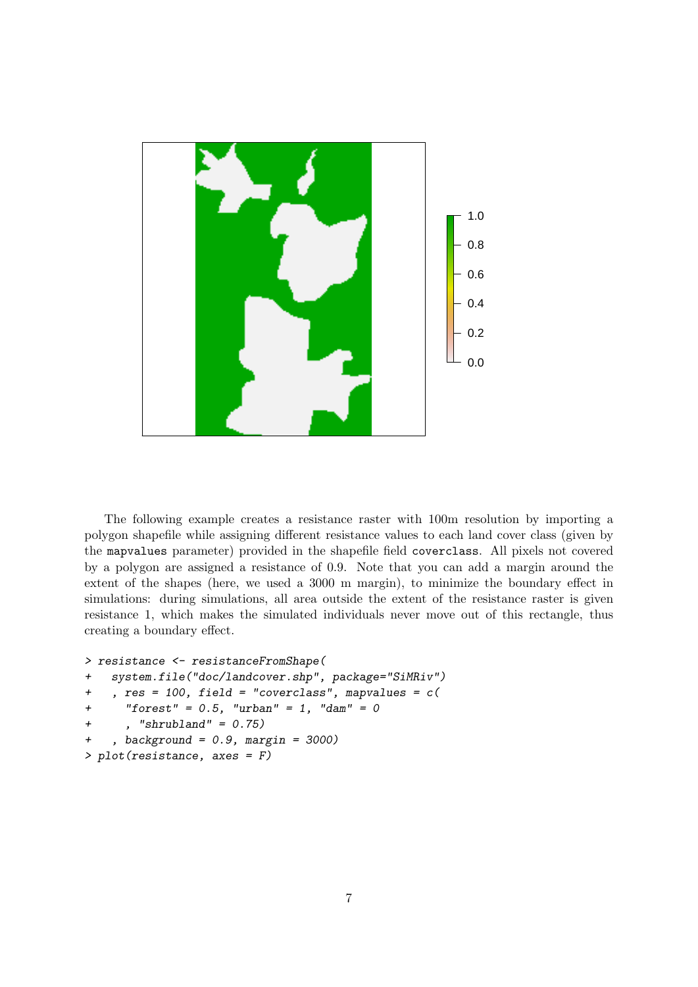

The following example creates a resistance raster with 100m resolution by importing a polygon shapefile while assigning different resistance values to each land cover class (given by the mapvalues parameter) provided in the shapefile field coverclass. All pixels not covered by a polygon are assigned a resistance of 0.9. Note that you can add a margin around the extent of the shapes (here, we used a 3000 m margin), to minimize the boundary effect in simulations: during simulations, all area outside the extent of the resistance raster is given resistance 1, which makes the simulated individuals never move out of this rectangle, thus creating a boundary effect.

```
> resistance <- resistanceFromShape(
+ system.file("doc/landcover.shp", package="SiMRiv")
+ , res = 100, field = "coverclass", mapvalues = c(
+ "forest" = 0.5, "urban" = 1, "dam" = 0
+ , "shrubland" = 0.75)
+ , background = 0.9, margin = 3000)
> plot(resistance, axes = F)
```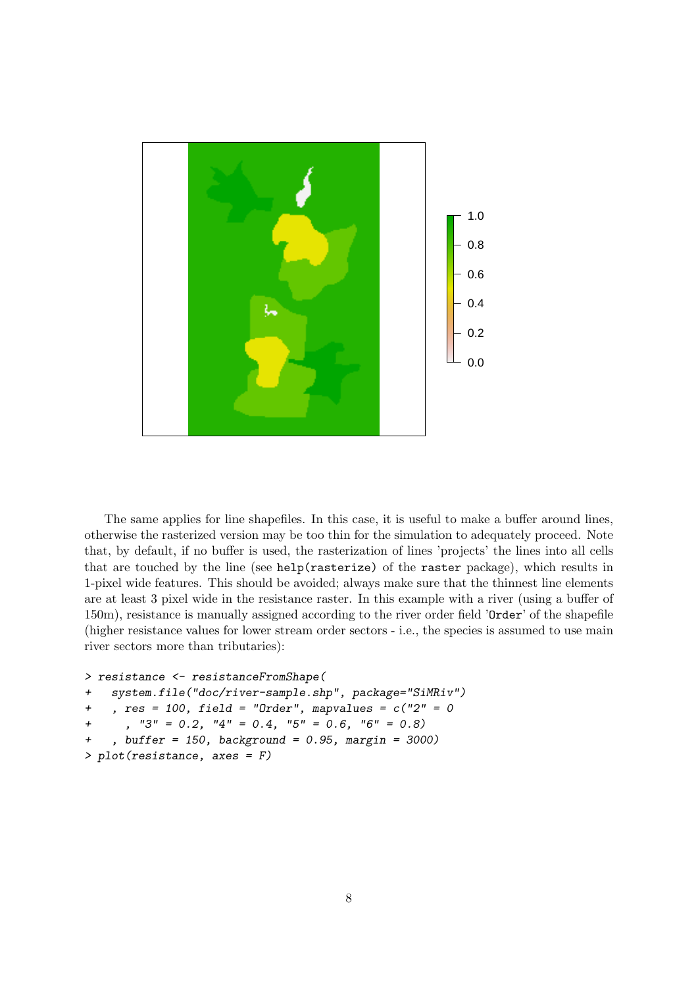

The same applies for line shapefiles. In this case, it is useful to make a buffer around lines, otherwise the rasterized version may be too thin for the simulation to adequately proceed. Note that, by default, if no buffer is used, the rasterization of lines 'projects' the lines into all cells that are touched by the line (see help(rasterize) of the raster package), which results in 1-pixel wide features. This should be avoided; always make sure that the thinnest line elements are at least 3 pixel wide in the resistance raster. In this example with a river (using a buffer of 150m), resistance is manually assigned according to the river order field 'Order' of the shapefile (higher resistance values for lower stream order sectors - i.e., the species is assumed to use main river sectors more than tributaries):

```
> resistance <- resistanceFromShape(
```

```
+ system.file("doc/river-sample.shp", package="SiMRiv")
+ , res = 100, field = "Order", mapvalues = c("2" = 0+, "3" = 0.2, "4" = 0.4, "5" = 0.6, "6" = 0.8)+ , buffer = 150, background = 0.95, margin = 3000)
> plot(resistance, axes = F)
```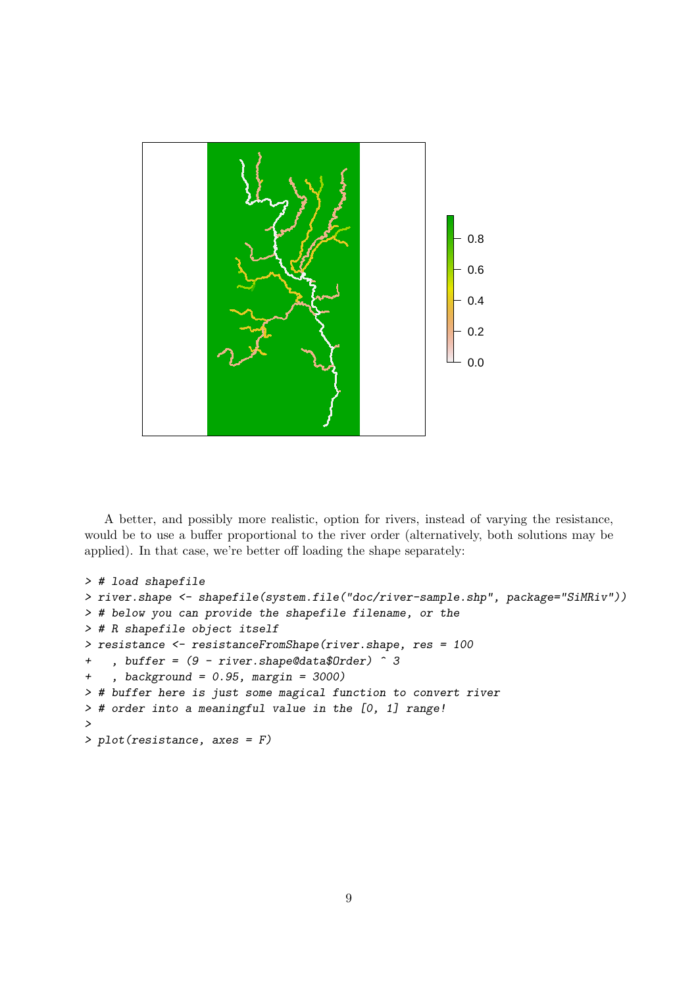

A better, and possibly more realistic, option for rivers, instead of varying the resistance, would be to use a buffer proportional to the river order (alternatively, both solutions may be applied). In that case, we're better off loading the shape separately:

```
> # load shapefile
> river.shape <- shapefile(system.file("doc/river-sample.shp", package="SiMRiv"))
> # below you can provide the shapefile filename, or the
> # R shapefile object itself
> resistance <- resistanceFromShape(river.shape, res = 100
+ , buffer = (9 - river.shape@data$Order) ^3+ , background = 0.95, margin = 3000)
> # buffer here is just some magical function to convert river
> # order into a meaningful value in the [0, 1] range!
>
> plot(resistance, axes = F)
```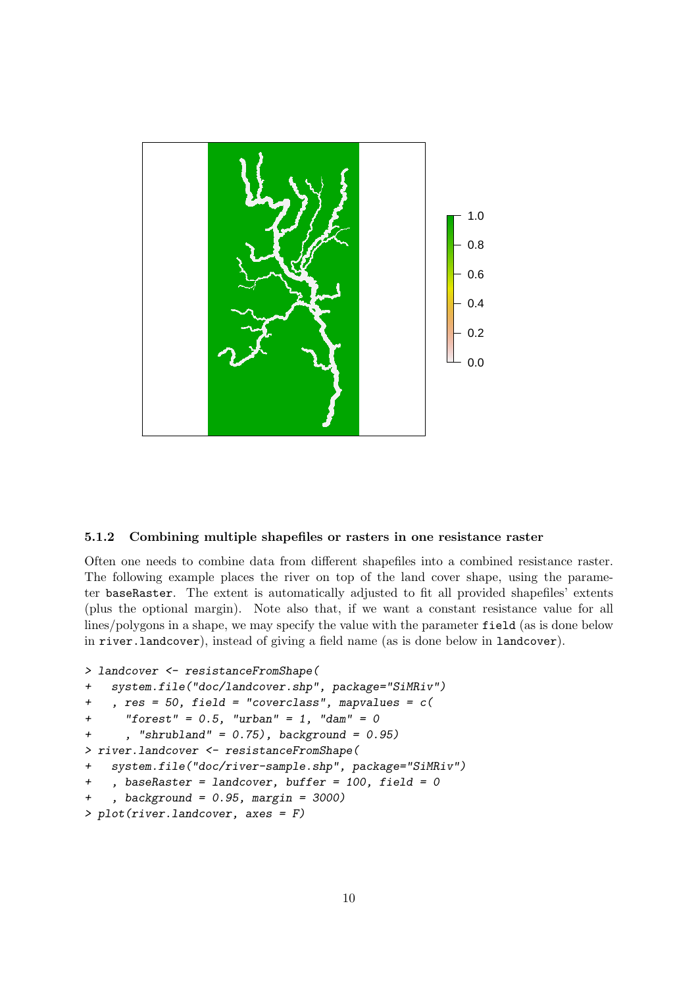

#### <span id="page-9-0"></span>5.1.2 Combining multiple shapefiles or rasters in one resistance raster

Often one needs to combine data from different shapefiles into a combined resistance raster. The following example places the river on top of the land cover shape, using the parameter baseRaster. The extent is automatically adjusted to fit all provided shapefiles' extents (plus the optional margin). Note also that, if we want a constant resistance value for all lines/polygons in a shape, we may specify the value with the parameter field (as is done below in river.landcover), instead of giving a field name (as is done below in landcover).

```
> landcover <- resistanceFromShape(
+ system.file("doc/landcover.shp", package="SiMRiv")
+, res = 50, field = "coverclass", mapvalues = c(+ "forest" = 0.5, "urban" = 1, "dam" = 0
+ , "shrubland" = 0.75), background = 0.95)
> river.landcover <- resistanceFromShape(
   + system.file("doc/river-sample.shp", package="SiMRiv")
+ , baseRaster = landcover, buffer = 100, field = 0
+ , background = 0.95, margin = 3000)
> plot(river.landcover, axes = F)
```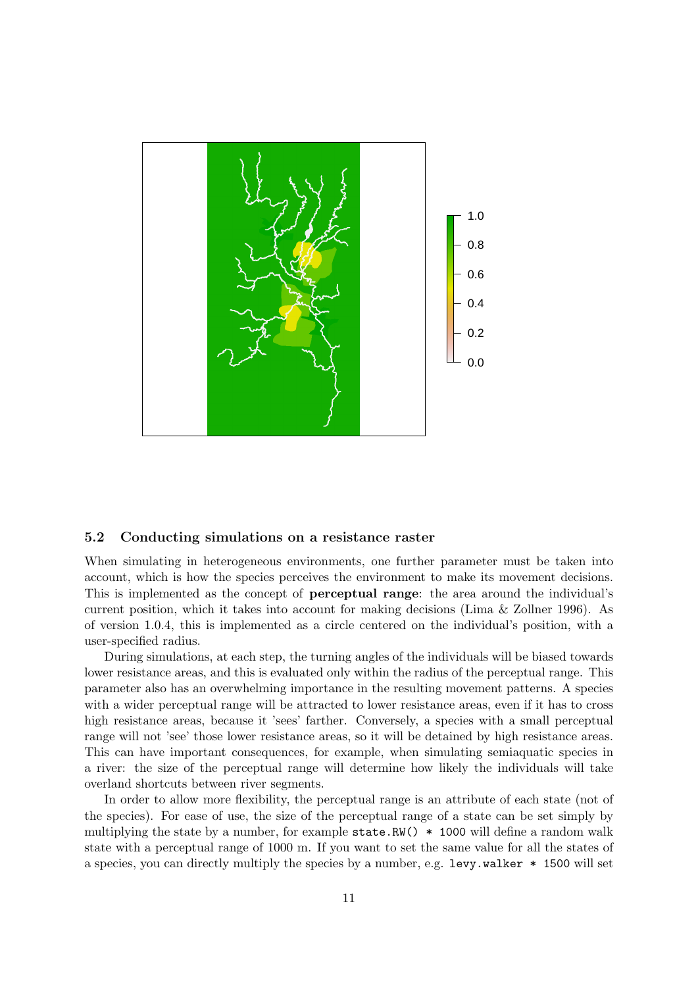

#### <span id="page-10-0"></span>5.2 Conducting simulations on a resistance raster

When simulating in heterogeneous environments, one further parameter must be taken into account, which is how the species perceives the environment to make its movement decisions. This is implemented as the concept of perceptual range: the area around the individual's current position, which it takes into account for making decisions (Lima & Zollner 1996). As of version 1.0.4, this is implemented as a circle centered on the individual's position, with a user-specified radius.

During simulations, at each step, the turning angles of the individuals will be biased towards lower resistance areas, and this is evaluated only within the radius of the perceptual range. This parameter also has an overwhelming importance in the resulting movement patterns. A species with a wider perceptual range will be attracted to lower resistance areas, even if it has to cross high resistance areas, because it 'sees' farther. Conversely, a species with a small perceptual range will not 'see' those lower resistance areas, so it will be detained by high resistance areas. This can have important consequences, for example, when simulating semiaquatic species in a river: the size of the perceptual range will determine how likely the individuals will take overland shortcuts between river segments.

In order to allow more flexibility, the perceptual range is an attribute of each state (not of the species). For ease of use, the size of the perceptual range of a state can be set simply by multiplying the state by a number, for example  $state.RW() * 1000$  will define a random walk state with a perceptual range of 1000 m. If you want to set the same value for all the states of a species, you can directly multiply the species by a number, e.g. levy.walker \* 1500 will set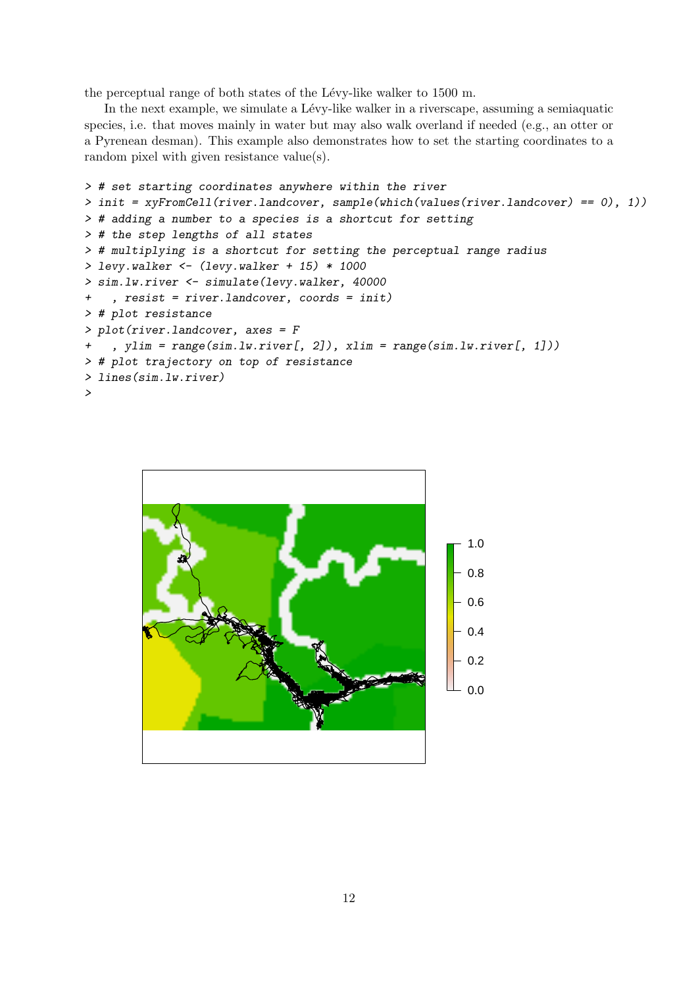the perceptual range of both states of the Lévy-like walker to  $1500$  m.

In the next example, we simulate a Lévy-like walker in a riverscape, assuming a semiaquatic species, i.e. that moves mainly in water but may also walk overland if needed (e.g., an otter or a Pyrenean desman). This example also demonstrates how to set the starting coordinates to a random pixel with given resistance value(s).

```
> # set starting coordinates anywhere within the river
> init = xyFromCell(river.landcover, sample(which(values(river.landcover) == 0), 1))
> # adding a number to a species is a shortcut for setting
> # the step lengths of all states
> # multiplying is a shortcut for setting the perceptual range radius
> levy.walker <- (levy.walker + 15) * 1000
> sim.lw.river <- simulate(levy.walker, 40000
+ , resist = river.landcover, coords = init)
> # plot resistance
> plot(river.landcover, axes = F
+ , ylim = range(sim.lw.river[, 2]), xlim = range(sim.lw.river[, 1]))
> # plot trajectory on top of resistance
> lines(sim.lw.river)
>
```
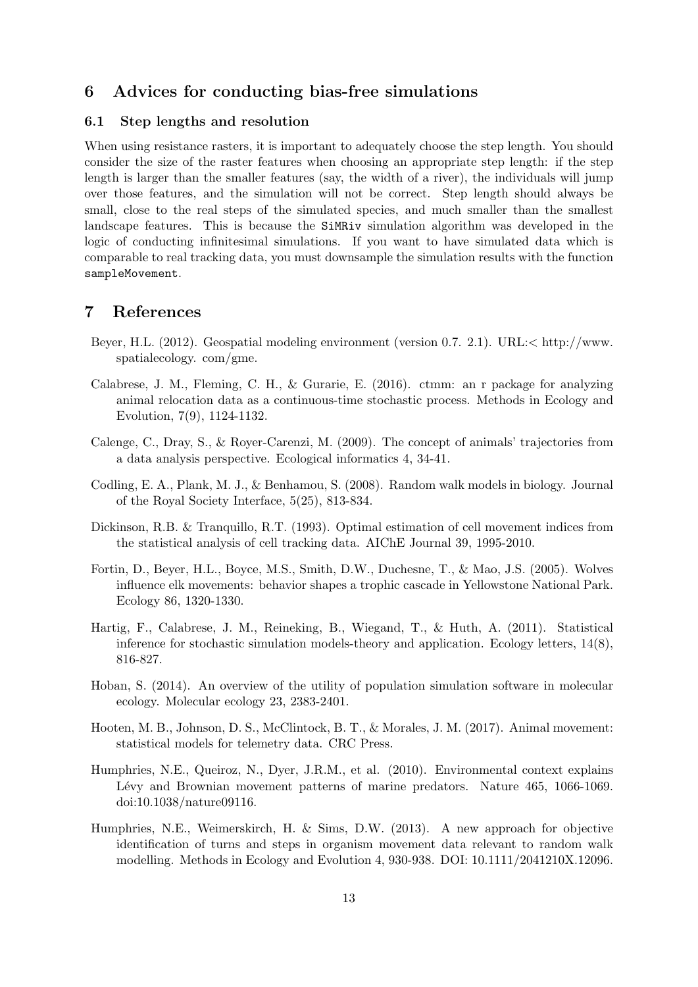## <span id="page-12-0"></span>6 Advices for conducting bias-free simulations

#### <span id="page-12-1"></span>6.1 Step lengths and resolution

When using resistance rasters, it is important to adequately choose the step length. You should consider the size of the raster features when choosing an appropriate step length: if the step length is larger than the smaller features (say, the width of a river), the individuals will jump over those features, and the simulation will not be correct. Step length should always be small, close to the real steps of the simulated species, and much smaller than the smallest landscape features. This is because the SiMRiv simulation algorithm was developed in the logic of conducting infinitesimal simulations. If you want to have simulated data which is comparable to real tracking data, you must downsample the simulation results with the function sampleMovement.

### <span id="page-12-2"></span>7 References

- Beyer, H.L. (2012). Geospatial modeling environment (version 0.7. 2.1). URL:< http://www. spatialecology. com/gme.
- Calabrese, J. M., Fleming, C. H., & Gurarie, E. (2016). ctmm: an r package for analyzing animal relocation data as a continuous-time stochastic process. Methods in Ecology and Evolution, 7(9), 1124-1132.
- Calenge, C., Dray, S., & Royer-Carenzi, M. (2009). The concept of animals' trajectories from a data analysis perspective. Ecological informatics 4, 34-41.
- Codling, E. A., Plank, M. J., & Benhamou, S. (2008). Random walk models in biology. Journal of the Royal Society Interface, 5(25), 813-834.
- Dickinson, R.B. & Tranquillo, R.T. (1993). Optimal estimation of cell movement indices from the statistical analysis of cell tracking data. AIChE Journal 39, 1995-2010.
- Fortin, D., Beyer, H.L., Boyce, M.S., Smith, D.W., Duchesne, T., & Mao, J.S. (2005). Wolves influence elk movements: behavior shapes a trophic cascade in Yellowstone National Park. Ecology 86, 1320-1330.
- Hartig, F., Calabrese, J. M., Reineking, B., Wiegand, T., & Huth, A. (2011). Statistical inference for stochastic simulation models-theory and application. Ecology letters,  $14(8)$ , 816-827.
- Hoban, S. (2014). An overview of the utility of population simulation software in molecular ecology. Molecular ecology 23, 2383-2401.
- Hooten, M. B., Johnson, D. S., McClintock, B. T., & Morales, J. M. (2017). Animal movement: statistical models for telemetry data. CRC Press.
- Humphries, N.E., Queiroz, N., Dyer, J.R.M., et al. (2010). Environmental context explains Lévy and Brownian movement patterns of marine predators. Nature 465, 1066-1069. doi:10.1038/nature09116.
- Humphries, N.E., Weimerskirch, H. & Sims, D.W. (2013). A new approach for objective identification of turns and steps in organism movement data relevant to random walk modelling. Methods in Ecology and Evolution 4, 930-938. DOI: 10.1111/2041210X.12096.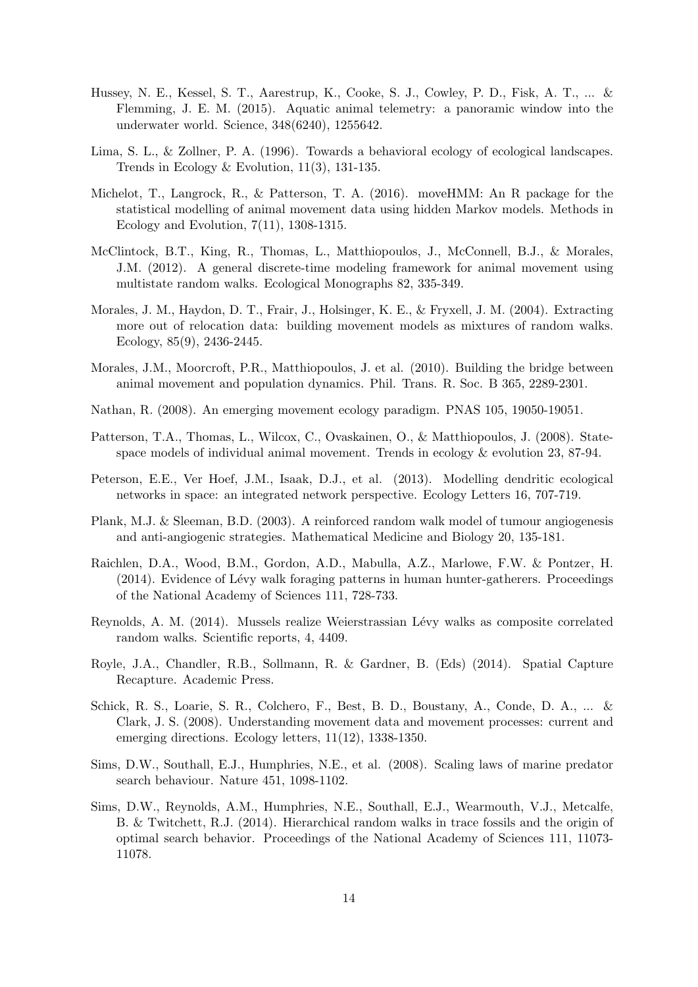- Hussey, N. E., Kessel, S. T., Aarestrup, K., Cooke, S. J., Cowley, P. D., Fisk, A. T., ... & Flemming, J. E. M. (2015). Aquatic animal telemetry: a panoramic window into the underwater world. Science, 348(6240), 1255642.
- Lima, S. L., & Zollner, P. A. (1996). Towards a behavioral ecology of ecological landscapes. Trends in Ecology & Evolution, 11(3), 131-135.
- Michelot, T., Langrock, R., & Patterson, T. A. (2016). moveHMM: An R package for the statistical modelling of animal movement data using hidden Markov models. Methods in Ecology and Evolution, 7(11), 1308-1315.
- McClintock, B.T., King, R., Thomas, L., Matthiopoulos, J., McConnell, B.J., & Morales, J.M. (2012). A general discrete-time modeling framework for animal movement using multistate random walks. Ecological Monographs 82, 335-349.
- Morales, J. M., Haydon, D. T., Frair, J., Holsinger, K. E., & Fryxell, J. M. (2004). Extracting more out of relocation data: building movement models as mixtures of random walks. Ecology, 85(9), 2436-2445.
- Morales, J.M., Moorcroft, P.R., Matthiopoulos, J. et al. (2010). Building the bridge between animal movement and population dynamics. Phil. Trans. R. Soc. B 365, 2289-2301.
- Nathan, R. (2008). An emerging movement ecology paradigm. PNAS 105, 19050-19051.
- Patterson, T.A., Thomas, L., Wilcox, C., Ovaskainen, O., & Matthiopoulos, J. (2008). Statespace models of individual animal movement. Trends in ecology & evolution 23, 87-94.
- Peterson, E.E., Ver Hoef, J.M., Isaak, D.J., et al. (2013). Modelling dendritic ecological networks in space: an integrated network perspective. Ecology Letters 16, 707-719.
- Plank, M.J. & Sleeman, B.D. (2003). A reinforced random walk model of tumour angiogenesis and anti-angiogenic strategies. Mathematical Medicine and Biology 20, 135-181.
- Raichlen, D.A., Wood, B.M., Gordon, A.D., Mabulla, A.Z., Marlowe, F.W. & Pontzer, H.  $(2014)$ . Evidence of Lévy walk foraging patterns in human hunter-gatherers. Proceedings of the National Academy of Sciences 111, 728-733.
- Reynolds, A. M. (2014). Mussels realize Weierstrassian Lévy walks as composite correlated random walks. Scientific reports, 4, 4409.
- Royle, J.A., Chandler, R.B., Sollmann, R. & Gardner, B. (Eds) (2014). Spatial Capture Recapture. Academic Press.
- Schick, R. S., Loarie, S. R., Colchero, F., Best, B. D., Boustany, A., Conde, D. A., ... & Clark, J. S. (2008). Understanding movement data and movement processes: current and emerging directions. Ecology letters, 11(12), 1338-1350.
- Sims, D.W., Southall, E.J., Humphries, N.E., et al. (2008). Scaling laws of marine predator search behaviour. Nature 451, 1098-1102.
- Sims, D.W., Reynolds, A.M., Humphries, N.E., Southall, E.J., Wearmouth, V.J., Metcalfe, B. & Twitchett, R.J. (2014). Hierarchical random walks in trace fossils and the origin of optimal search behavior. Proceedings of the National Academy of Sciences 111, 11073- 11078.